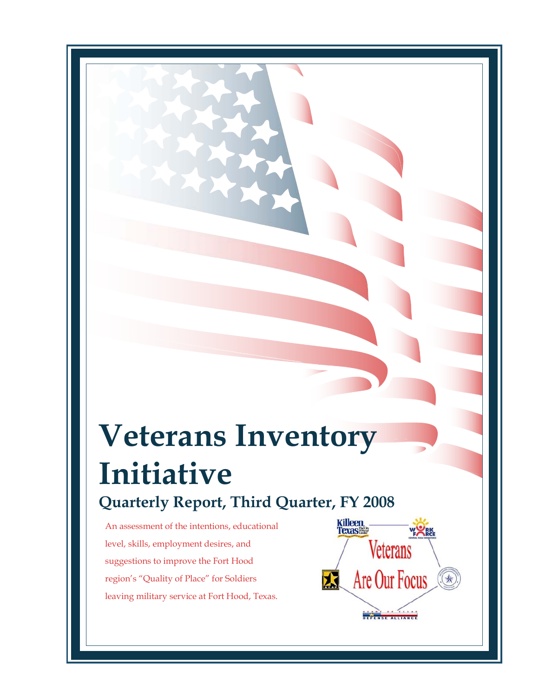# **Veterans Inventory Initiative Quarterly Report, Third Quarter, FY 2008**

An assessment of the intentions, educational level, skills, employment desires, and suggestions to improve the Fort Hood region's "Quality of Place" for Soldiers leaving military service at Fort Hood, Texas.

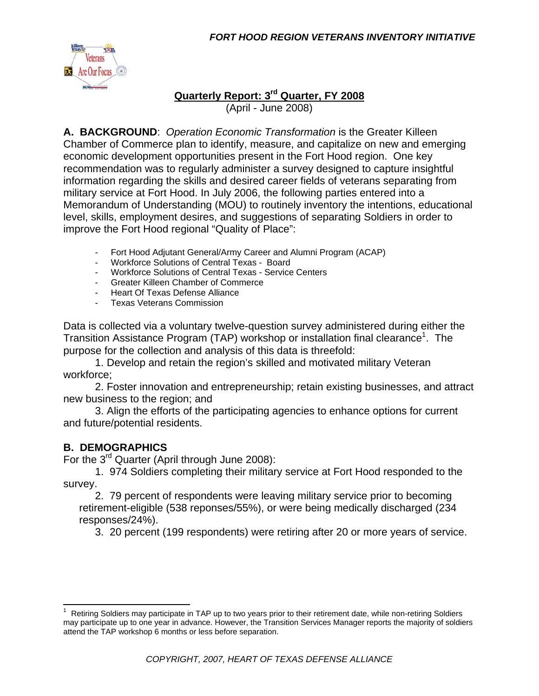

### **Quarterly Report: 3rd Quarter, FY 2008** (April - June 2008)

**A. BACKGROUND**: *Operation Economic Transformation* is the Greater Killeen Chamber of Commerce plan to identify, measure, and capitalize on new and emerging economic development opportunities present in the Fort Hood region. One key recommendation was to regularly administer a survey designed to capture insightful information regarding the skills and desired career fields of veterans separating from military service at Fort Hood. In July 2006, the following parties entered into a Memorandum of Understanding (MOU) to routinely inventory the intentions, educational level, skills, employment desires, and suggestions of separating Soldiers in order to improve the Fort Hood regional "Quality of Place":

- Fort Hood Adjutant General/Army Career and Alumni Program (ACAP)
- Workforce Solutions of Central Texas Board
- Workforce Solutions of Central Texas Service Centers
- Greater Killeen Chamber of Commerce
- Heart Of Texas Defense Alliance
- Texas Veterans Commission

Data is collected via a voluntary twelve-question survey administered during either the Transition Assistance Program (TAP) workshop or installation final clearance<sup>1</sup>. The purpose for the collection and analysis of this data is threefold:

 1. Develop and retain the region's skilled and motivated military Veteran workforce;

 2. Foster innovation and entrepreneurship; retain existing businesses, and attract new business to the region; and

 3. Align the efforts of the participating agencies to enhance options for current and future/potential residents.

### **B. DEMOGRAPHICS**

For the 3rd Quarter (April through June 2008):

 1. 974 Soldiers completing their military service at Fort Hood responded to the survey.

 2. 79 percent of respondents were leaving military service prior to becoming retirement-eligible (538 reponses/55%), or were being medically discharged (234 responses/24%).

3. 20 percent (199 respondents) were retiring after 20 or more years of service.

<sup>&</sup>lt;sup>1</sup> Retiring Soldiers may participate in TAP up to two years prior to their retirement date, while non-retiring Soldiers may participate up to one year in advance. However, the Transition Services Manager reports the majority of soldiers attend the TAP workshop 6 months or less before separation.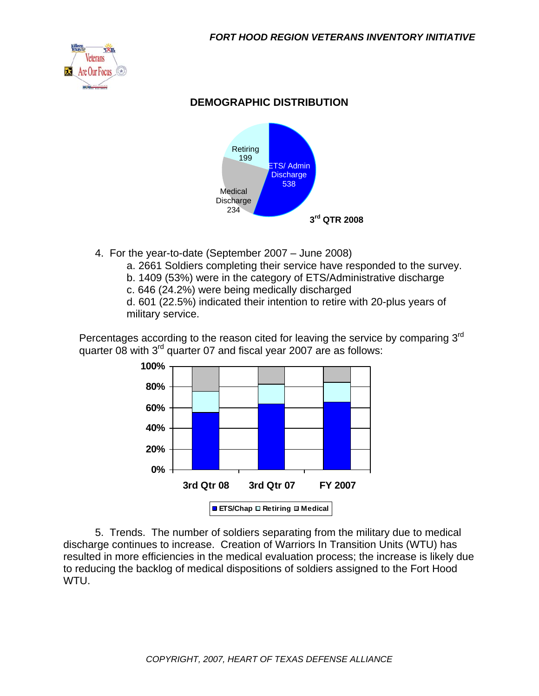

# **DEMOGRAPHIC DISTRIBUTION**



- 4. For the year-to-date (September 2007 June 2008)
	- a. 2661 Soldiers completing their service have responded to the survey.
	- b. 1409 (53%) were in the category of ETS/Administrative discharge
	- c. 646 (24.2%) were being medically discharged

d. 601 (22.5%) indicated their intention to retire with 20-plus years of military service.

Percentages according to the reason cited for leaving the service by comparing 3<sup>rd</sup> quarter 08 with 3<sup>rd</sup> quarter 07 and fiscal year 2007 are as follows:



 5. Trends. The number of soldiers separating from the military due to medical discharge continues to increase. Creation of Warriors In Transition Units (WTU) has resulted in more efficiencies in the medical evaluation process; the increase is likely due to reducing the backlog of medical dispositions of soldiers assigned to the Fort Hood WTU.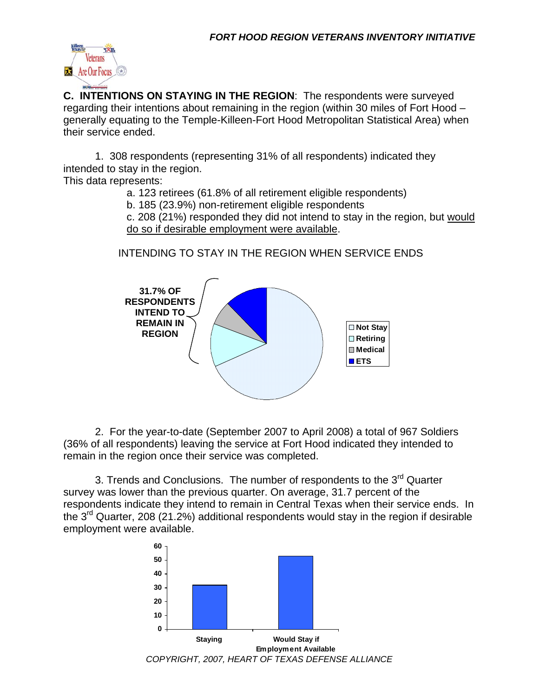

**C. INTENTIONS ON STAYING IN THE REGION**: The respondents were surveyed regarding their intentions about remaining in the region (within 30 miles of Fort Hood – generally equating to the Temple-Killeen-Fort Hood Metropolitan Statistical Area) when their service ended.

 1. 308 respondents (representing 31% of all respondents) indicated they intended to stay in the region.

This data represents:

a. 123 retirees (61.8% of all retirement eligible respondents)

b. 185 (23.9%) non-retirement eligible respondents

c. 208 (21%) responded they did not intend to stay in the region, but would do so if desirable employment were available.

# INTENDING TO STAY IN THE REGION WHEN SERVICE ENDS



 2. For the year-to-date (September 2007 to April 2008) a total of 967 Soldiers (36% of all respondents) leaving the service at Fort Hood indicated they intended to remain in the region once their service was completed.

3. Trends and Conclusions. The number of respondents to the  $3^{rd}$  Quarter survey was lower than the previous quarter. On average, 31.7 percent of the respondents indicate they intend to remain in Central Texas when their service ends. In the  $3<sup>rd</sup>$  Quarter, 208 (21.2%) additional respondents would stay in the region if desirable employment were available.

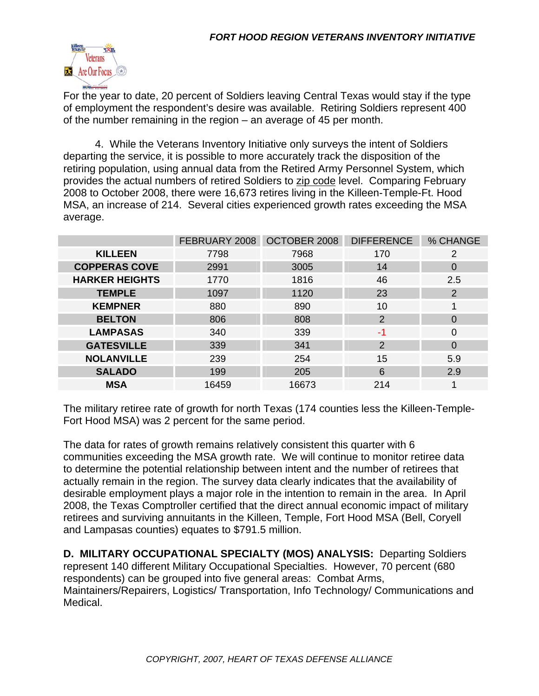

For the year to date, 20 percent of Soldiers leaving Central Texas would stay if the type of employment the respondent's desire was available. Retiring Soldiers represent 400 of the number remaining in the region – an average of 45 per month.

 4. While the Veterans Inventory Initiative only surveys the intent of Soldiers departing the service, it is possible to more accurately track the disposition of the retiring population, using annual data from the Retired Army Personnel System, which provides the actual numbers of retired Soldiers to zip code level. Comparing February 2008 to October 2008, there were 16,673 retires living in the Killeen-Temple-Ft. Hood MSA, an increase of 214. Several cities experienced growth rates exceeding the MSA average.

|                       | FEBRUARY 2008 | OCTOBER 2008 | <b>DIFFERENCE</b> | % CHANGE              |
|-----------------------|---------------|--------------|-------------------|-----------------------|
| <b>KILLEEN</b>        | 7798          | 7968         | 170               | $\mathbf{2}^{\prime}$ |
| <b>COPPERAS COVE</b>  | 2991          | 3005<br>14   |                   | 0                     |
| <b>HARKER HEIGHTS</b> | 1770          | 1816         | 46                | 2.5                   |
| <b>TEMPLE</b>         | 1097          | 1120         | 23                | 2                     |
| <b>KEMPNER</b>        | 880           | 890          | 10                |                       |
| <b>BELTON</b>         | 806           | 808          | $\overline{2}$    | $\Omega$              |
| <b>LAMPASAS</b>       | 340           | 339          | -1                | 0                     |
| <b>GATESVILLE</b>     | 339           | 341          | 2                 | $\Omega$              |
| <b>NOLANVILLE</b>     | 239           | 254          | 15                | 5.9                   |
| <b>SALADO</b>         | 199           | 205          | 6                 | 2.9                   |
| <b>MSA</b>            | 16459         | 16673        | 214               | 1                     |

The military retiree rate of growth for north Texas (174 counties less the Killeen-Temple-Fort Hood MSA) was 2 percent for the same period.

The data for rates of growth remains relatively consistent this quarter with 6 communities exceeding the MSA growth rate. We will continue to monitor retiree data to determine the potential relationship between intent and the number of retirees that actually remain in the region. The survey data clearly indicates that the availability of desirable employment plays a major role in the intention to remain in the area. In April 2008, the Texas Comptroller certified that the direct annual economic impact of military retirees and surviving annuitants in the Killeen, Temple, Fort Hood MSA (Bell, Coryell and Lampasas counties) equates to \$791.5 million.

**D. MILITARY OCCUPATIONAL SPECIALTY (MOS) ANALYSIS:** Departing Soldiers represent 140 different Military Occupational Specialties. However, 70 percent (680 respondents) can be grouped into five general areas: Combat Arms, Maintainers/Repairers, Logistics/ Transportation, Info Technology/ Communications and Medical.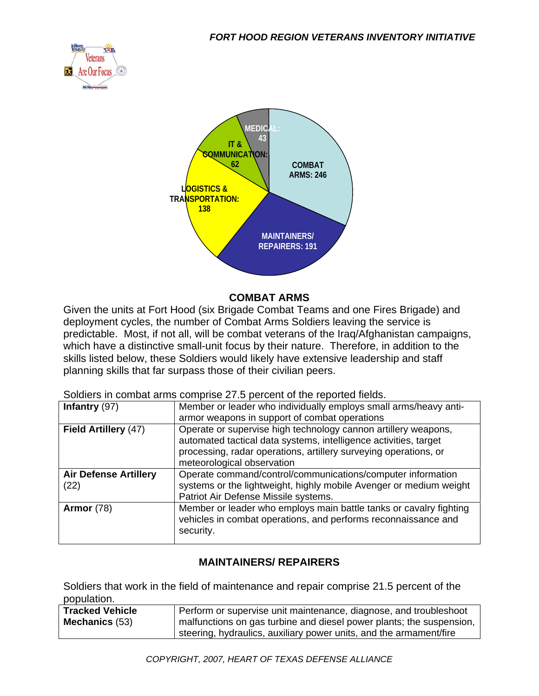



#### **COMBAT ARMS**

Given the units at Fort Hood (six Brigade Combat Teams and one Fires Brigade) and deployment cycles, the number of Combat Arms Soldiers leaving the service is predictable. Most, if not all, will be combat veterans of the Iraq/Afghanistan campaigns, which have a distinctive small-unit focus by their nature. Therefore, in addition to the skills listed below, these Soldiers would likely have extensive leadership and staff planning skills that far surpass those of their civilian peers.

Soldiers in combat arms comprise 27.5 percent of the reported fields.

| Infantry $(97)$              | Member or leader who individually employs small arms/heavy anti-                                                                                                                                                                     |  |  |
|------------------------------|--------------------------------------------------------------------------------------------------------------------------------------------------------------------------------------------------------------------------------------|--|--|
|                              | armor weapons in support of combat operations                                                                                                                                                                                        |  |  |
| Field Artillery (47)         | Operate or supervise high technology cannon artillery weapons,<br>automated tactical data systems, intelligence activities, target<br>processing, radar operations, artillery surveying operations, or<br>meteorological observation |  |  |
| <b>Air Defense Artillery</b> | Operate command/control/communications/computer information                                                                                                                                                                          |  |  |
| (22)                         | systems or the lightweight, highly mobile Avenger or medium weight                                                                                                                                                                   |  |  |
|                              | Patriot Air Defense Missile systems.                                                                                                                                                                                                 |  |  |
| <b>Armor</b> (78)            | Member or leader who employs main battle tanks or cavalry fighting<br>vehicles in combat operations, and performs reconnaissance and<br>security.                                                                                    |  |  |

### **MAINTAINERS/ REPAIRERS**

Soldiers that work in the field of maintenance and repair comprise 21.5 percent of the population.

| Tracked Vehicle       | Perform or supervise unit maintenance, diagnose, and troubleshoot    |  |
|-----------------------|----------------------------------------------------------------------|--|
| <b>Mechanics</b> (53) | malfunctions on gas turbine and diesel power plants; the suspension, |  |
|                       | steering, hydraulics, auxiliary power units, and the armament/fire   |  |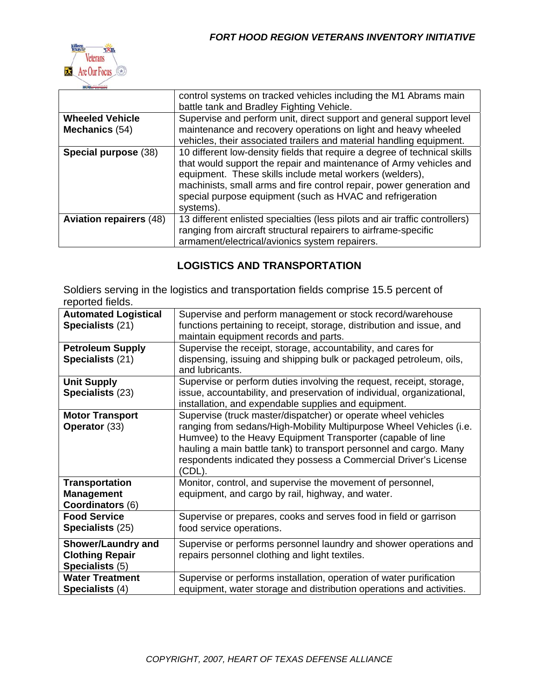

|                                          | control systems on tracked vehicles including the M1 Abrams main<br>battle tank and Bradley Fighting Vehicle.                                                                                                                                                                                                                                                 |
|------------------------------------------|---------------------------------------------------------------------------------------------------------------------------------------------------------------------------------------------------------------------------------------------------------------------------------------------------------------------------------------------------------------|
| <b>Wheeled Vehicle</b><br>Mechanics (54) | Supervise and perform unit, direct support and general support level<br>maintenance and recovery operations on light and heavy wheeled<br>vehicles, their associated trailers and material handling equipment.                                                                                                                                                |
| Special purpose (38)                     | 10 different low-density fields that require a degree of technical skills<br>that would support the repair and maintenance of Army vehicles and<br>equipment. These skills include metal workers (welders),<br>machinists, small arms and fire control repair, power generation and<br>special purpose equipment (such as HVAC and refrigeration<br>systems). |
| <b>Aviation repairers (48)</b>           | 13 different enlisted specialties (less pilots and air traffic controllers)<br>ranging from aircraft structural repairers to airframe-specific<br>armament/electrical/avionics system repairers.                                                                                                                                                              |

# **LOGISTICS AND TRANSPORTATION**

Soldiers serving in the logistics and transportation fields comprise 15.5 percent of reported fields.

| <b>Automated Logistical</b><br>Specialists (21)                        | Supervise and perform management or stock record/warehouse<br>functions pertaining to receipt, storage, distribution and issue, and<br>maintain equipment records and parts.                                                                                                                                                                            |
|------------------------------------------------------------------------|---------------------------------------------------------------------------------------------------------------------------------------------------------------------------------------------------------------------------------------------------------------------------------------------------------------------------------------------------------|
| <b>Petroleum Supply</b><br>Specialists (21)                            | Supervise the receipt, storage, accountability, and cares for<br>dispensing, issuing and shipping bulk or packaged petroleum, oils,<br>and lubricants.                                                                                                                                                                                                  |
| <b>Unit Supply</b><br>Specialists (23)                                 | Supervise or perform duties involving the request, receipt, storage,<br>issue, accountability, and preservation of individual, organizational,<br>installation, and expendable supplies and equipment.                                                                                                                                                  |
| <b>Motor Transport</b><br>Operator (33)                                | Supervise (truck master/dispatcher) or operate wheel vehicles<br>ranging from sedans/High-Mobility Multipurpose Wheel Vehicles (i.e.<br>Humvee) to the Heavy Equipment Transporter (capable of line<br>hauling a main battle tank) to transport personnel and cargo. Many<br>respondents indicated they possess a Commercial Driver's License<br>(CDL). |
| <b>Transportation</b><br><b>Management</b><br><b>Coordinators (6)</b>  | Monitor, control, and supervise the movement of personnel,<br>equipment, and cargo by rail, highway, and water.                                                                                                                                                                                                                                         |
| <b>Food Service</b><br><b>Specialists (25)</b>                         | Supervise or prepares, cooks and serves food in field or garrison<br>food service operations.                                                                                                                                                                                                                                                           |
| <b>Shower/Laundry and</b><br><b>Clothing Repair</b><br>Specialists (5) | Supervise or performs personnel laundry and shower operations and<br>repairs personnel clothing and light textiles.                                                                                                                                                                                                                                     |
| <b>Water Treatment</b><br>Specialists (4)                              | Supervise or performs installation, operation of water purification<br>equipment, water storage and distribution operations and activities.                                                                                                                                                                                                             |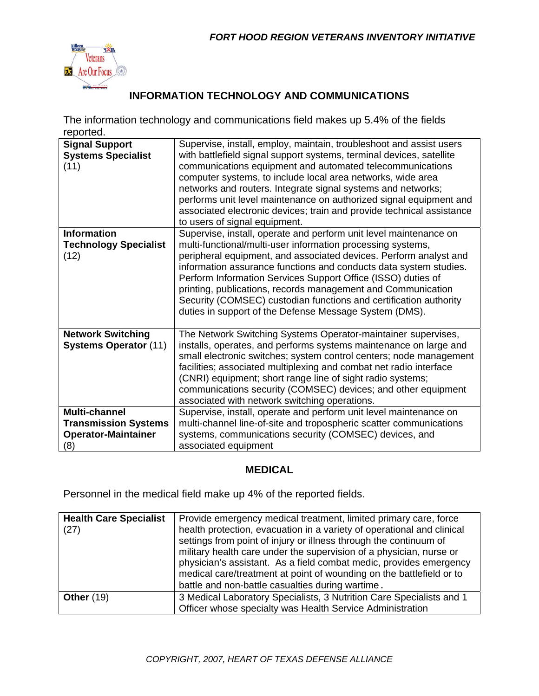

# **INFORMATION TECHNOLOGY AND COMMUNICATIONS**

The information technology and communications field makes up 5.4% of the fields reported.

| <b>Signal Support</b><br><b>Systems Specialist</b><br>(11)                               | Supervise, install, employ, maintain, troubleshoot and assist users<br>with battlefield signal support systems, terminal devices, satellite<br>communications equipment and automated telecommunications<br>computer systems, to include local area networks, wide area<br>networks and routers. Integrate signal systems and networks;<br>performs unit level maintenance on authorized signal equipment and<br>associated electronic devices; train and provide technical assistance<br>to users of signal equipment.                   |
|------------------------------------------------------------------------------------------|-------------------------------------------------------------------------------------------------------------------------------------------------------------------------------------------------------------------------------------------------------------------------------------------------------------------------------------------------------------------------------------------------------------------------------------------------------------------------------------------------------------------------------------------|
| <b>Information</b><br><b>Technology Specialist</b><br>(12)                               | Supervise, install, operate and perform unit level maintenance on<br>multi-functional/multi-user information processing systems,<br>peripheral equipment, and associated devices. Perform analyst and<br>information assurance functions and conducts data system studies.<br>Perform Information Services Support Office (ISSO) duties of<br>printing, publications, records management and Communication<br>Security (COMSEC) custodian functions and certification authority<br>duties in support of the Defense Message System (DMS). |
| <b>Network Switching</b><br><b>Systems Operator (11)</b>                                 | The Network Switching Systems Operator-maintainer supervises,<br>installs, operates, and performs systems maintenance on large and<br>small electronic switches; system control centers; node management<br>facilities; associated multiplexing and combat net radio interface<br>(CNRI) equipment; short range line of sight radio systems;<br>communications security (COMSEC) devices; and other equipment<br>associated with network switching operations.                                                                            |
| <b>Multi-channel</b><br><b>Transmission Systems</b><br><b>Operator-Maintainer</b><br>(8) | Supervise, install, operate and perform unit level maintenance on<br>multi-channel line-of-site and tropospheric scatter communications<br>systems, communications security (COMSEC) devices, and<br>associated equipment                                                                                                                                                                                                                                                                                                                 |

#### **MEDICAL**

Personnel in the medical field make up 4% of the reported fields.

| <b>Health Care Specialist</b><br>(27) | Provide emergency medical treatment, limited primary care, force<br>health protection, evacuation in a variety of operational and clinical<br>settings from point of injury or illness through the continuum of<br>military health care under the supervision of a physician, nurse or<br>physician's assistant. As a field combat medic, provides emergency<br>medical care/treatment at point of wounding on the battlefield or to<br>battle and non-battle casualties during wartime. |
|---------------------------------------|------------------------------------------------------------------------------------------------------------------------------------------------------------------------------------------------------------------------------------------------------------------------------------------------------------------------------------------------------------------------------------------------------------------------------------------------------------------------------------------|
| <b>Other (19)</b>                     | 3 Medical Laboratory Specialists, 3 Nutrition Care Specialists and 1<br>Officer whose specialty was Health Service Administration                                                                                                                                                                                                                                                                                                                                                        |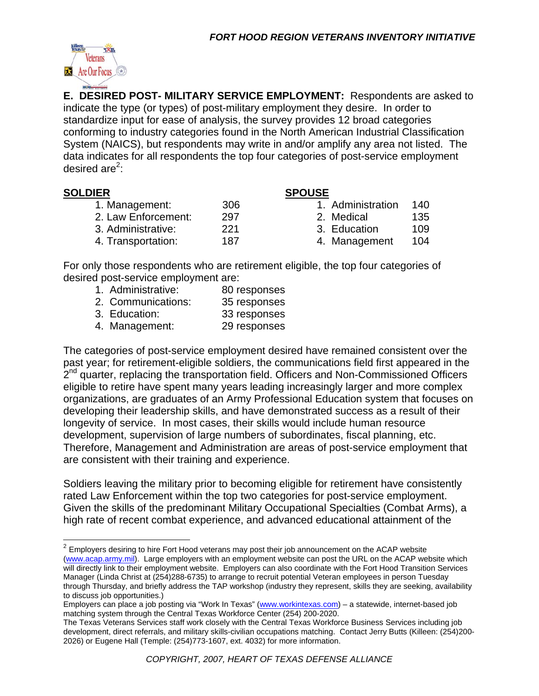

**E. DESIRED POST- MILITARY SERVICE EMPLOYMENT:** Respondents are asked to indicate the type (or types) of post-military employment they desire. In order to standardize input for ease of analysis, the survey provides 12 broad categories conforming to industry categories found in the North American Industrial Classification System (NAICS), but respondents may write in and/or amplify any area not listed. The data indicates for all respondents the top four categories of post-service employment desired are<sup>2</sup>:

#### **SOLDIER SPOUSE**

 1. Management: 306 1. Administration 140 2. Law Enforcement: 297 2. Medical 135 3. Administrative: 221 3. Education 109 4. Transportation: 187 187 4. Management 104

- -
- 

For only those respondents who are retirement eligible, the top four categories of desired post-service employment are:

- 1. Administrative: 80 responses
- 2. Communications: 35 responses
- 3. Education: 33 responses
- 4. Management: 29 responses

The categories of post-service employment desired have remained consistent over the past year; for retirement-eligible soldiers, the communications field first appeared in the  $2<sup>nd</sup>$  quarter, replacing the transportation field. Officers and Non-Commissioned Officers eligible to retire have spent many years leading increasingly larger and more complex organizations, are graduates of an Army Professional Education system that focuses on developing their leadership skills, and have demonstrated success as a result of their longevity of service. In most cases, their skills would include human resource development, supervision of large numbers of subordinates, fiscal planning, etc. Therefore, Management and Administration are areas of post-service employment that are consistent with their training and experience.

Soldiers leaving the military prior to becoming eligible for retirement have consistently rated Law Enforcement within the top two categories for post-service employment. Given the skills of the predominant Military Occupational Specialties (Combat Arms), a high rate of recent combat experience, and advanced educational attainment of the

 $2$  Employers desiring to hire Fort Hood veterans may post their job announcement on the ACAP website (www.acap.army.mil). Large employers with an employment website can post the URL on the ACAP website which will directly link to their employment website. Employers can also coordinate with the Fort Hood Transition Services Manager (Linda Christ at (254)288-6735) to arrange to recruit potential Veteran employees in person Tuesday through Thursday, and briefly address the TAP workshop (industry they represent, skills they are seeking, availability to discuss job opportunities.)

Employers can place a job posting via "Work In Texas" (www.workintexas.com) – a statewide, internet-based job matching system through the Central Texas Workforce Center (254) 200-2020.

The Texas Veterans Services staff work closely with the Central Texas Workforce Business Services including job development, direct referrals, and military skills-civilian occupations matching. Contact Jerry Butts (Killeen: (254)200- 2026) or Eugene Hall (Temple: (254)773-1607, ext. 4032) for more information.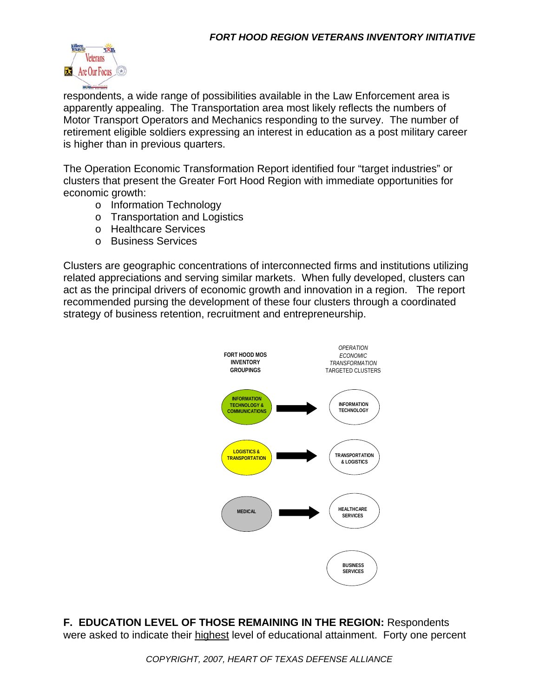

respondents, a wide range of possibilities available in the Law Enforcement area is apparently appealing. The Transportation area most likely reflects the numbers of Motor Transport Operators and Mechanics responding to the survey. The number of retirement eligible soldiers expressing an interest in education as a post military career is higher than in previous quarters.

The Operation Economic Transformation Report identified four "target industries" or clusters that present the Greater Fort Hood Region with immediate opportunities for economic growth:

- o Information Technology
- o Transportation and Logistics
- o Healthcare Services
- o Business Services

Clusters are geographic concentrations of interconnected firms and institutions utilizing related appreciations and serving similar markets. When fully developed, clusters can act as the principal drivers of economic growth and innovation in a region. The report recommended pursing the development of these four clusters through a coordinated strategy of business retention, recruitment and entrepreneurship.



**F. EDUCATION LEVEL OF THOSE REMAINING IN THE REGION:** Respondents were asked to indicate their highest level of educational attainment. Forty one percent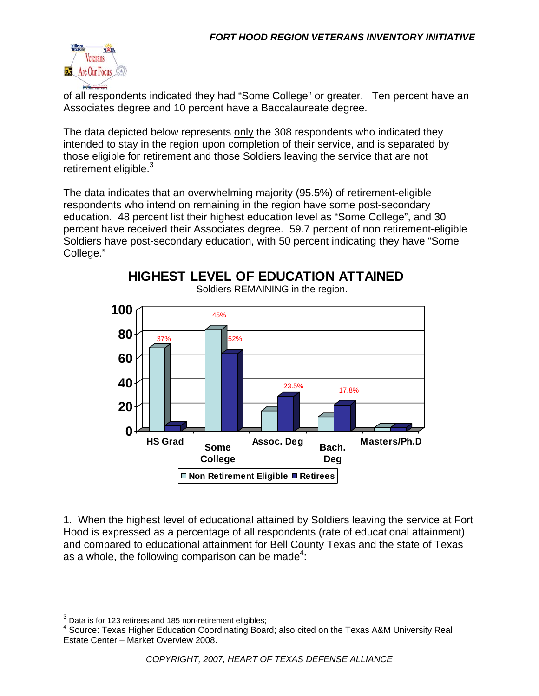

of all respondents indicated they had "Some College" or greater. Ten percent have an Associates degree and 10 percent have a Baccalaureate degree.

The data depicted below represents only the 308 respondents who indicated they intended to stay in the region upon completion of their service, and is separated by those eligible for retirement and those Soldiers leaving the service that are not retirement eligible. $3$ 

The data indicates that an overwhelming majority (95.5%) of retirement-eligible respondents who intend on remaining in the region have some post-secondary education. 48 percent list their highest education level as "Some College", and 30 percent have received their Associates degree. 59.7 percent of non retirement-eligible Soldiers have post-secondary education, with 50 percent indicating they have "Some College."

**HIGHEST LEVEL OF EDUCATION ATTAINED**



Soldiers REMAINING in the region.

1. When the highest level of educational attained by Soldiers leaving the service at Fort Hood is expressed as a percentage of all respondents (rate of educational attainment) and compared to educational attainment for Bell County Texas and the state of Texas as a whole, the following comparison can be made<sup>4</sup>:

 $3$  Data is for 123 retirees and 185 non-retirement eligibles;

<sup>&</sup>lt;sup>4</sup> Source: Texas Higher Education Coordinating Board; also cited on the Texas A&M University Real Estate Center – Market Overview 2008.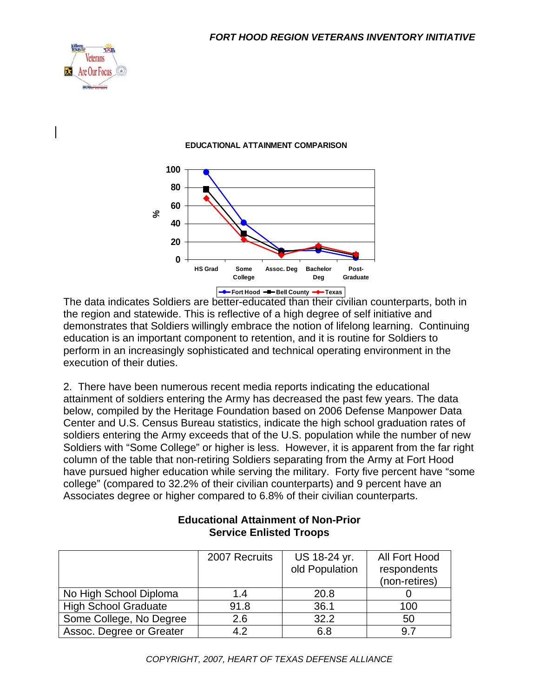



#### **EDUCATIONAL ATTAINMENT COMPARISON**

The data indicates Soldiers are better-educated than their civilian counterparts, both in the region and statewide. This is reflective of a high degree of self initiative and demonstrates that Soldiers willingly embrace the notion of lifelong learning. Continuing education is an important component to retention, and it is routine for Soldiers to perform in an increasingly sophisticated and technical operating environment in the execution of their duties.

2. There have been numerous recent media reports indicating the educational attainment of soldiers entering the Army has decreased the past few years. The data below, compiled by the Heritage Foundation based on 2006 Defense Manpower Data Center and U.S. Census Bureau statistics, indicate the high school graduation rates of soldiers entering the Army exceeds that of the U.S. population while the number of new Soldiers with "Some College" or higher is less. However, it is apparent from the far right column of the table that non-retiring Soldiers separating from the Army at Fort Hood have pursued higher education while serving the military. Forty five percent have "some college" (compared to 32.2% of their civilian counterparts) and 9 percent have an Associates degree or higher compared to 6.8% of their civilian counterparts.

|                             | 2007 Recruits | US 18-24 yr.   | All Fort Hood |
|-----------------------------|---------------|----------------|---------------|
|                             |               | old Population | respondents   |
|                             |               |                | (non-retires) |
| No High School Diploma      | 1.4           | 20.8           |               |
| <b>High School Graduate</b> | 91.8          | 36.1           | 100           |
| Some College, No Degree     | 2.6           | 32.2           | 50            |
| Assoc. Degree or Greater    | 4.2           | 6.8            | 9.7           |

#### **Educational Attainment of Non-Prior Service Enlisted Troops**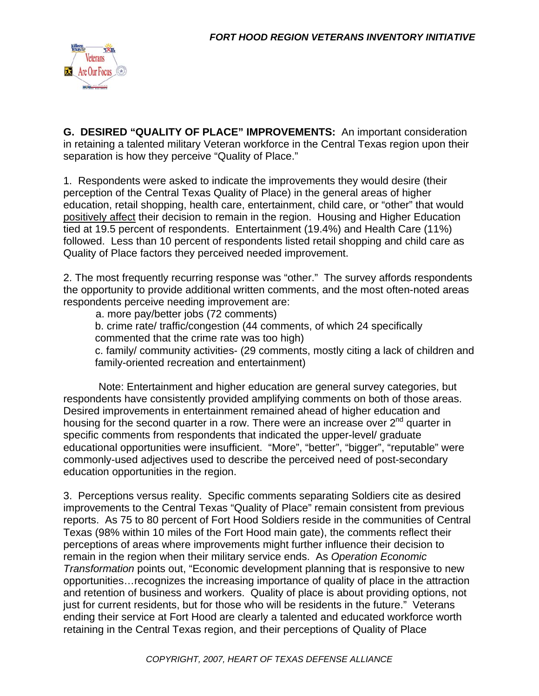

**G. DESIRED "QUALITY OF PLACE" IMPROVEMENTS:** An important consideration in retaining a talented military Veteran workforce in the Central Texas region upon their separation is how they perceive "Quality of Place."

1. Respondents were asked to indicate the improvements they would desire (their perception of the Central Texas Quality of Place) in the general areas of higher education, retail shopping, health care, entertainment, child care, or "other" that would positively affect their decision to remain in the region. Housing and Higher Education tied at 19.5 percent of respondents. Entertainment (19.4%) and Health Care (11%) followed. Less than 10 percent of respondents listed retail shopping and child care as Quality of Place factors they perceived needed improvement.

2. The most frequently recurring response was "other." The survey affords respondents the opportunity to provide additional written comments, and the most often-noted areas respondents perceive needing improvement are:

a. more pay/better jobs (72 comments)

b. crime rate/ traffic/congestion (44 comments, of which 24 specifically commented that the crime rate was too high)

c. family/ community activities- (29 comments, mostly citing a lack of children and family-oriented recreation and entertainment)

 Note: Entertainment and higher education are general survey categories, but respondents have consistently provided amplifying comments on both of those areas. Desired improvements in entertainment remained ahead of higher education and housing for the second quarter in a row. There were an increase over  $2^{nd}$  quarter in specific comments from respondents that indicated the upper-level/ graduate educational opportunities were insufficient. "More", "better", "bigger", "reputable" were commonly-used adjectives used to describe the perceived need of post-secondary education opportunities in the region.

3. Perceptions versus reality. Specific comments separating Soldiers cite as desired improvements to the Central Texas "Quality of Place" remain consistent from previous reports. As 75 to 80 percent of Fort Hood Soldiers reside in the communities of Central Texas (98% within 10 miles of the Fort Hood main gate), the comments reflect their perceptions of areas where improvements might further influence their decision to remain in the region when their military service ends. As *Operation Economic Transformation* points out, "Economic development planning that is responsive to new opportunities…recognizes the increasing importance of quality of place in the attraction and retention of business and workers. Quality of place is about providing options, not just for current residents, but for those who will be residents in the future." Veterans ending their service at Fort Hood are clearly a talented and educated workforce worth retaining in the Central Texas region, and their perceptions of Quality of Place